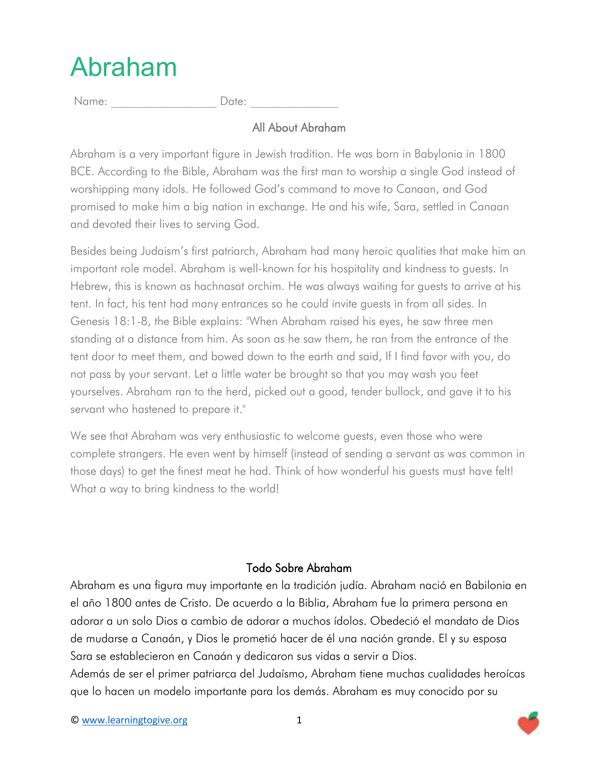## Abraham

Name: \_\_\_\_\_\_\_\_\_\_\_\_\_\_\_\_\_\_ Date: \_\_\_\_\_\_\_\_\_\_\_\_\_\_\_

## All About Abraham

Abraham is a very important figure in Jewish tradition. He was born in Babylonia in 1800 BCE. According to the Bible, Abraham was the first man to worship a single God instead of worshipping many idols. He followed God's command to move to Canaan, and God promised to make him a big nation in exchange. He and his wife, Sara, settled in Canaan and devoted their lives to serving God.

Besides being Judaism's first patriarch, Abraham had many heroic qualities that make him an important role model. Abraham is well-known for his hospitality and kindness to guests. In Hebrew, this is known as hachnasat orchim. He was always waiting for guests to arrive at his tent. In fact, his tent had many entrances so he could invite guests in from all sides. In Genesis 18:1-8, the Bible explains: "When Abraham raised his eyes, he saw three men standing at a distance from him. As soon as he saw them, he ran from the entrance of the tent door to meet them, and bowed down to the earth and said, If I find favor with you, do not pass by your servant. Let a little water be brought so that you may wash you feet yourselves. Abraham ran to the herd, picked out a good, tender bullock, and gave it to his servant who hastened to prepare it."

We see that Abraham was very enthusiastic to welcome guests, even those who were complete strangers. He even went by himself (instead of sending a servant as was common in those days) to get the finest meat he had. Think of how wonderful his guests must have felt! What a way to bring kindness to the world!

## Todo Sobre Abraham

Abraham es una figura muy importante en la tradición judía. Abraham nació en Babilonia en el año 1800 antes de Cristo. De acuerdo a la Biblia, Abraham fue la primera persona en adorar a un solo Dios a cambio de adorar a muchos ídolos. Obedeció el mandato de Dios de mudarse a Canaán, y Dios le prometió hacer de él una nación grande. El y su esposa Sara se establecieron en Canaán y dedicaron sus vidas a servir a Dios.

Además de ser el primer patriarca del Judaísmo, Abraham tiene muchas cualidades heroícas que lo hacen un modelo importante para los demás. Abraham es muy conocido por su